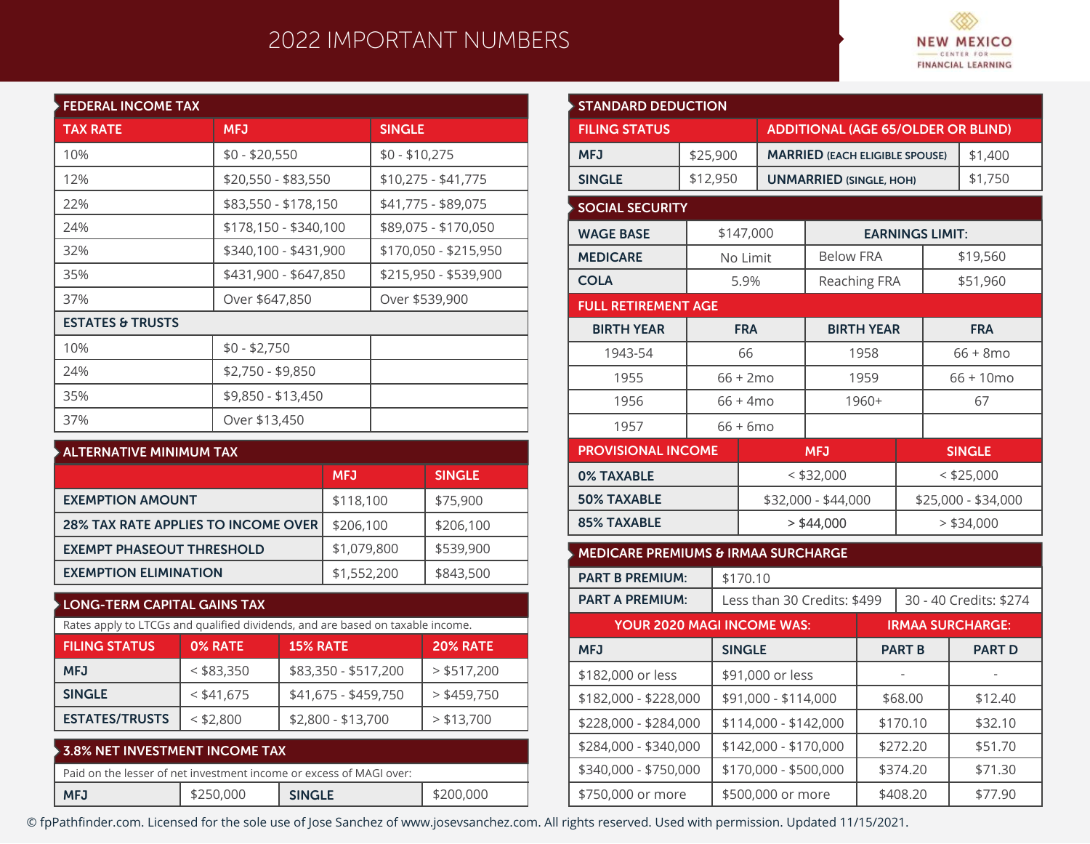## 2022 IMPORTANT NUMBERS



| <b>FEDERAL INCOME TAX</b>   |                       |                       |
|-----------------------------|-----------------------|-----------------------|
| <b>TAX RATE</b>             | <b>MFJ</b>            | <b>SINGLE</b>         |
| 10%                         | $$0 - $20,550$        | $$0 - $10,275$        |
| 12%                         | \$20,550 - \$83,550   | $$10,275 - $41,775$   |
| 22%                         | \$83,550 - \$178,150  | \$41,775 - \$89,075   |
| 24%                         | \$178,150 - \$340,100 | \$89,075 - \$170,050  |
| 32%                         | \$340,100 - \$431,900 | \$170,050 - \$215,950 |
| 35%                         | \$431,900 - \$647,850 | \$215,950 - \$539,900 |
| 37%                         | Over \$647,850        | Over \$539,900        |
| <b>ESTATES &amp; TRUSTS</b> |                       |                       |
| 10%                         | $$0 - $2,750$         |                       |
| 24%                         | $$2,750 - $9,850$     |                       |
| 35%                         | \$9,850 - \$13,450    |                       |
| 37%                         | Over \$13,450         |                       |

| $\blacktriangleright$ ALTERNATIVE MINIMUM TAX |             |               |
|-----------------------------------------------|-------------|---------------|
|                                               | <b>MFJ</b>  | <b>SINGLE</b> |
| <b>EXEMPTION AMOUNT</b>                       | \$118,100   | \$75,900      |
| <b>28% TAX RATE APPLIES TO INCOME OVER</b>    | \$206,100   | \$206,100     |
| <b>EXEMPT PHASEOUT THRESHOLD</b>              | \$1,079,800 | \$539,900     |
| <b>EXEMPTION ELIMINATION</b>                  | \$1,552,200 | \$843,500     |

## **LONG-TERM CAPITAL GAINS TAX**

| Rates apply to LTCGs and qualified dividends, and are based on taxable income. |              |                      |                 |  |  |  |
|--------------------------------------------------------------------------------|--------------|----------------------|-----------------|--|--|--|
| <b>FILING STATUS</b>                                                           | 0% RATE      | <b>15% RATE</b>      | <b>20% RATE</b> |  |  |  |
| <b>MFJ</b>                                                                     | $<$ \$83,350 | \$83,350 - \$517,200 | $>$ \$517,200   |  |  |  |
| <b>SINGLE</b>                                                                  | $<$ \$41,675 | \$41,675 - \$459,750 | $>$ \$459,750   |  |  |  |
| <b>ESTATES/TRUSTS</b>                                                          | $<$ \$2,800  | \$2,800 - \$13,700   | $>$ \$13,700    |  |  |  |

| $\blacktriangleright$ 3.8% NET INVESTMENT INCOME TAX |           |                                                                     |           |
|------------------------------------------------------|-----------|---------------------------------------------------------------------|-----------|
|                                                      |           | Paid on the lesser of net investment income or excess of MAGI over: |           |
| <b>MFJ</b>                                           | \$250,000 | <b>SINGLE</b>                                                       | \$200,000 |

| <b>STANDARD DEDUCTION</b>                      |          |                                           |                              |                                   |                                       |                         |                     |               |
|------------------------------------------------|----------|-------------------------------------------|------------------------------|-----------------------------------|---------------------------------------|-------------------------|---------------------|---------------|
| <b>FILING STATUS</b>                           |          | <b>ADDITIONAL (AGE 65/OLDER OR BLIND)</b> |                              |                                   |                                       |                         |                     |               |
| <b>MFJ</b>                                     | \$25,900 |                                           |                              |                                   | <b>MARRIED (EACH ELIGIBLE SPOUSE)</b> |                         |                     | \$1,400       |
| <b>SINGLE</b>                                  | \$12,950 |                                           |                              | <b>UNMARRIED (SINGLE, HOH)</b>    |                                       |                         |                     | \$1,750       |
| <b>SOCIAL SECURITY</b>                         |          |                                           |                              |                                   |                                       |                         |                     |               |
| <b>WAGE BASE</b>                               |          | \$147,000                                 |                              |                                   |                                       | <b>EARNINGS LIMIT:</b>  |                     |               |
| <b>MEDICARE</b>                                |          | No Limit                                  |                              | <b>Below FRA</b>                  |                                       |                         |                     | \$19,560      |
| <b>COLA</b>                                    |          | 5.9%                                      |                              |                                   | Reaching FRA                          |                         |                     | \$51,960      |
| <b>FULL RETIREMENT AGE</b>                     |          |                                           |                              |                                   |                                       |                         |                     |               |
| <b>BIRTH YEAR</b>                              |          | <b>FRA</b>                                |                              |                                   | <b>BIRTH YEAR</b>                     |                         |                     | <b>FRA</b>    |
| 1943-54                                        |          | 66                                        |                              |                                   | 1958                                  |                         |                     | $66 + 8$ mo   |
| 1955                                           |          | 66 + 2mo                                  |                              |                                   | 1959                                  |                         | $66 + 10$ mo        |               |
| 1956                                           |          | $66 + 4 \text{mo}$                        |                              |                                   | 1960+                                 |                         | 67                  |               |
| 1957                                           |          | 66 + 6mo                                  |                              |                                   |                                       |                         |                     |               |
| <b>PROVISIONAL INCOME</b>                      |          |                                           |                              | <b>MFJ</b>                        |                                       |                         |                     | <b>SINGLE</b> |
| <b>0% TAXABLE</b>                              |          |                                           | $<$ \$32,000                 |                                   |                                       | $<$ \$25,000            |                     |               |
| <b>50% TAXABLE</b>                             |          |                                           | \$32,000 - \$44,000          |                                   |                                       |                         | \$25,000 - \$34,000 |               |
| <b>85% TAXABLE</b>                             |          |                                           | $>$ \$44,000<br>$>$ \$34,000 |                                   |                                       |                         |                     |               |
| <b>MEDICARE PREMIUMS &amp; IRMAA SURCHARGE</b> |          |                                           |                              |                                   |                                       |                         |                     |               |
| <b>PART B PREMIUM:</b>                         |          | \$170.10                                  |                              |                                   |                                       |                         |                     |               |
| <b>PART A PREMIUM:</b>                         |          |                                           | Less than 30 Credits: \$499  |                                   |                                       | 30 - 40 Credits: \$274  |                     |               |
| YOUR 2020 MAGI INCOME WAS:                     |          |                                           |                              |                                   |                                       | <b>IRMAA SURCHARGE:</b> |                     |               |
| <b>MFJ</b>                                     |          | <b>SINGLE</b>                             |                              |                                   | <b>PART B</b>                         |                         |                     | <b>PART D</b> |
| \$182,000 or less                              |          |                                           |                              | \$91,000 or less                  |                                       |                         |                     |               |
| \$182,000 - \$228,000                          |          |                                           | \$91,000 - \$114,000         |                                   |                                       | \$68.00                 |                     | \$12.40       |
| \$228,000 - \$284,000                          |          |                                           |                              | \$114,000 - \$142,000<br>\$170.10 |                                       | \$32.10                 |                     |               |
| \$284,000 - \$340,000                          |          |                                           |                              | \$142,000 - \$170,000<br>\$272.20 |                                       |                         | \$51.70             |               |
| \$340,000 - \$750,000                          |          |                                           |                              | \$170,000 - \$500,000<br>\$374.20 |                                       |                         | \$71.30             |               |
| \$750,000 or more                              |          |                                           | \$500,000 or more            | \$408.20                          |                                       |                         |                     | \$77.90       |

© fpPathfinder.com. Licensed for the sole use of Jose Sanchez of www.josevsanchez.com. All rights reserved. Used with permission. Updated 11/15/2021.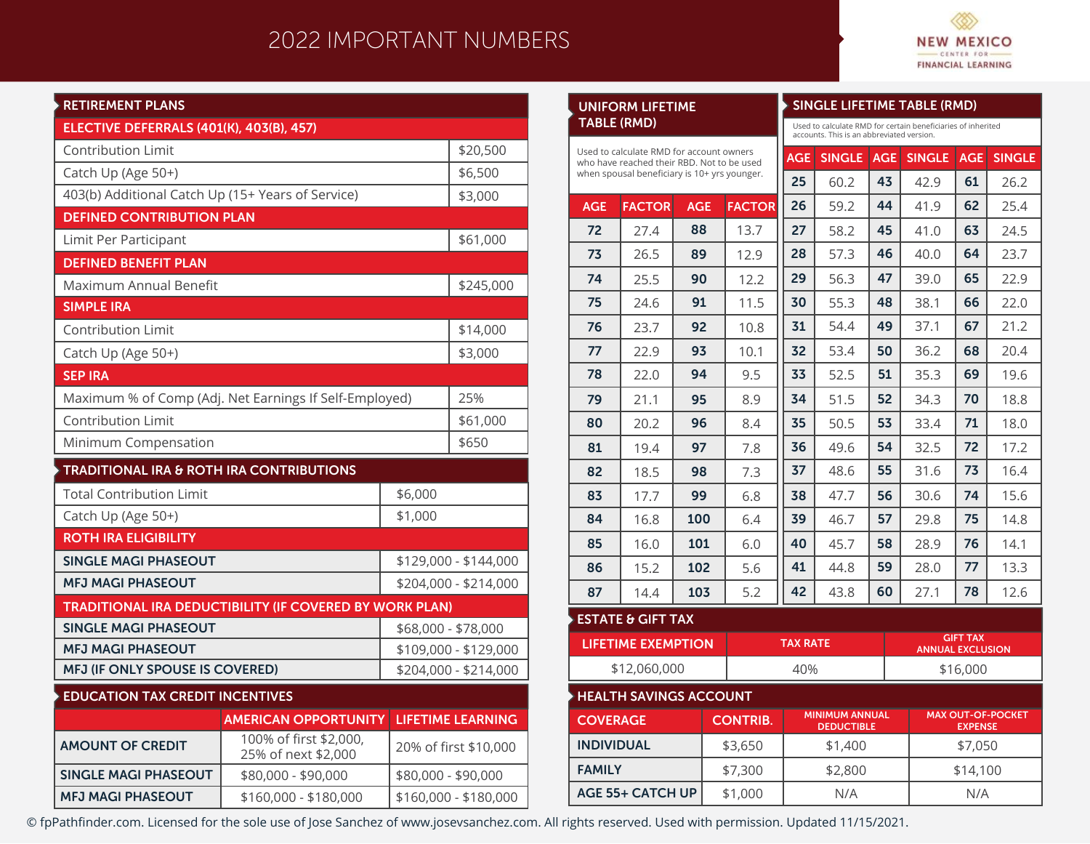## 2022 IMPORTANT NUMBERS

**UNIFORM LIFETIME**



**SINGLE LIFETIME TABLE (RMD)**

| <b>RETIREMENT PLANS</b>                                |                                                                |                       |                          |  |
|--------------------------------------------------------|----------------------------------------------------------------|-----------------------|--------------------------|--|
| ELECTIVE DEFERRALS (401(K), 403(B), 457)               |                                                                |                       |                          |  |
| <b>Contribution Limit</b>                              | \$20,500                                                       |                       |                          |  |
| Catch Up (Age 50+)                                     | \$6,500                                                        |                       |                          |  |
| 403(b) Additional Catch Up (15+ Years of Service)      |                                                                |                       | \$3,000                  |  |
| <b>DEFINED CONTRIBUTION PLAN</b>                       |                                                                |                       |                          |  |
| Limit Per Participant                                  |                                                                |                       | \$61,000                 |  |
| <b>DEFINED BENEFIT PLAN</b>                            |                                                                |                       |                          |  |
| Maximum Annual Benefit                                 |                                                                |                       | \$245,000                |  |
| <b>SIMPLE IRA</b>                                      |                                                                |                       |                          |  |
| <b>Contribution Limit</b>                              |                                                                | \$14,000              |                          |  |
| Catch Up (Age 50+)                                     |                                                                |                       | \$3,000                  |  |
| <b>SEP IRA</b>                                         |                                                                |                       |                          |  |
| Maximum % of Comp (Adj. Net Earnings If Self-Employed) |                                                                | 25%                   |                          |  |
| <b>Contribution Limit</b>                              | \$61,000                                                       |                       |                          |  |
| Minimum Compensation                                   |                                                                | \$650                 |                          |  |
| <b>TRADITIONAL IRA &amp; ROTH IRA CONTRIBUTIONS</b>    |                                                                |                       |                          |  |
| <b>Total Contribution Limit</b>                        |                                                                | \$6,000               |                          |  |
| Catch Up (Age 50+)                                     | \$1,000                                                        |                       |                          |  |
| <b>ROTH IRA ELIGIBILITY</b>                            |                                                                |                       |                          |  |
| <b>SINGLE MAGI PHASEOUT</b>                            |                                                                | \$129,000 - \$144,000 |                          |  |
| <b>MFJ MAGI PHASEOUT</b>                               |                                                                | \$204,000 - \$214,000 |                          |  |
|                                                        | <b>TRADITIONAL IRA DEDUCTIBILITY (IF COVERED BY WORK PLAN)</b> |                       |                          |  |
| <b>SINGLE MAGI PHASEOUT</b>                            | \$68,000 - \$78,000                                            |                       |                          |  |
| <b>MFJ MAGI PHASEOUT</b>                               |                                                                |                       | \$109,000 - \$129,000    |  |
| MFJ (IF ONLY SPOUSE IS COVERED)                        |                                                                |                       | \$204,000 - \$214,000    |  |
| <b>EDUCATION TAX CREDIT INCENTIVES</b>                 |                                                                |                       |                          |  |
|                                                        | <b>AMERICAN OPPORTUNITY</b>                                    |                       | <b>LIFETIME LEARNING</b> |  |
| <b>AMOUNT OF CREDIT</b>                                | 100% of first \$2,000,<br>25% of next \$2,000                  | 20% of first \$10,000 |                          |  |
| <b>SINGLE MAGI PHASEOUT</b>                            | \$80,000 - \$90,000                                            | \$80,000 - \$90,000   |                          |  |

\$160,000 - \$180,000

**MFJ MAGI PHASEOUT**

| TABLE (RMD)                                                                            |                               |                                           |                                            | Used to calculate RMD for certain beneficiaries of inherited<br>accounts. This is an abbreviated version. |                                            |            |         |                                            |               |  |
|----------------------------------------------------------------------------------------|-------------------------------|-------------------------------------------|--------------------------------------------|-----------------------------------------------------------------------------------------------------------|--------------------------------------------|------------|---------|--------------------------------------------|---------------|--|
| Used to calculate RMD for account owners<br>who have reached their RBD. Not to be used |                               |                                           |                                            | <b>AGE</b>                                                                                                | <b>SINGLE</b>                              | <b>AGE</b> | SINGLE  | <b>AGE</b>                                 | <b>SINGLE</b> |  |
| when spousal beneficiary is 10+ yrs younger.                                           |                               |                                           | 25                                         | 60.2                                                                                                      | 43                                         | 42.9       | 61      | 26.2                                       |               |  |
| <b>AGE</b>                                                                             | <b>FACTOR</b>                 | <b>AGE</b>                                | <b>FACTOR</b>                              | 26                                                                                                        | 59.2                                       | 44         | 41.9    | 62                                         | 25.4          |  |
| 72                                                                                     | 27.4                          | 88                                        | 13.7                                       | 27                                                                                                        | 58.2                                       | 45         | 41.0    | 63                                         | 24.5          |  |
| 73                                                                                     | 26.5                          | 89                                        | 12.9                                       | 28                                                                                                        | 57.3                                       | 46         | 40.0    | 64                                         | 23.7          |  |
| 74                                                                                     | 25.5                          | 90                                        | 12.2                                       | 29                                                                                                        | 56.3                                       | 47         | 39.0    | 65                                         | 22.9          |  |
| 75                                                                                     | 24.6                          | 91                                        | 11.5                                       | 30                                                                                                        | 55.3                                       | 48         | 38.1    | 66                                         | 22.0          |  |
| 76                                                                                     | 23.7                          | 92                                        | 10.8                                       | 31                                                                                                        | 54.4                                       | 49         | 37.1    | 67                                         | 21.2          |  |
| 77                                                                                     | 22.9                          | 93                                        | 10.1                                       | 32                                                                                                        | 53.4                                       | 50         | 36.2    | 68                                         | 20.4          |  |
| 78                                                                                     | 22.0                          | 94                                        | 9.5                                        | 33                                                                                                        | 52.5                                       | 51         | 35.3    | 69                                         | 19.6          |  |
| 79                                                                                     | 21.1                          | 95                                        | 8.9                                        | 34                                                                                                        | 51.5                                       | 52         | 34.3    | 70                                         | 18.8          |  |
| 80                                                                                     | 20.2                          | 96                                        | 8.4                                        | 35                                                                                                        | 50.5                                       | 53         | 33.4    | 71                                         | 18.0          |  |
| 81                                                                                     | 19.4                          | 97                                        | 7.8                                        | 36                                                                                                        | 49.6                                       | 54         | 32.5    | 72                                         | 17.2          |  |
| 82                                                                                     | 18.5                          | 98                                        | 7.3                                        | 37                                                                                                        | 48.6                                       | 55         | 31.6    | 73                                         | 16.4          |  |
| 83                                                                                     | 17.7                          | 99                                        | 6.8                                        | 38                                                                                                        | 47.7                                       | 56         | 30.6    | 74                                         | 15.6          |  |
| 84                                                                                     | 16.8                          | 100                                       | 6.4                                        | 39                                                                                                        | 46.7                                       | 57         | 29.8    | 75                                         | 14.8          |  |
| 85                                                                                     | 16.0                          | 101                                       | 6.0                                        | 40                                                                                                        | 45.7                                       | 58         | 28.9    | 76                                         | 14.1          |  |
| 86                                                                                     | 15.2                          | 102                                       | 5.6                                        | 41                                                                                                        | 44.8                                       | 59         | 28.0    | 77                                         | 13.3          |  |
| 87                                                                                     | 14.4                          | 103                                       | 5.2                                        | 42                                                                                                        | 43.8                                       | 60         | 27.1    | 78                                         | 12.6          |  |
|                                                                                        | <b>ESTATE &amp; GIFT TAX</b>  |                                           |                                            |                                                                                                           |                                            |            |         |                                            |               |  |
|                                                                                        | <b>LIFETIME EXEMPTION</b>     |                                           |                                            |                                                                                                           | <b>TAX RATE</b>                            |            |         | <b>GIFT TAX</b><br><b>ANNUAL EXCLUSION</b> |               |  |
| \$12,060,000                                                                           |                               |                                           |                                            | 40%<br>\$16,000                                                                                           |                                            |            |         |                                            |               |  |
|                                                                                        | <b>HEALTH SAVINGS ACCOUNT</b> |                                           |                                            |                                                                                                           |                                            |            |         |                                            |               |  |
| <b>COVERAGE</b><br><b>CONTRIB.</b>                                                     |                               |                                           | <b>MINIMUM ANNUAL</b><br><b>DEDUCTIBLE</b> |                                                                                                           | <b>MAX OUT-OF-POCKET</b><br><b>EXPENSE</b> |            |         |                                            |               |  |
| <b>INDIVIDUAL</b>                                                                      |                               |                                           | \$3,650                                    |                                                                                                           | \$1,400                                    |            | \$7,050 |                                            |               |  |
| <b>FAMILY</b>                                                                          | \$7,300                       |                                           |                                            |                                                                                                           | \$2,800                                    |            |         | \$14,100                                   |               |  |
|                                                                                        |                               | <b>AGE 55+ CATCH UP</b><br>\$1,000<br>N/A |                                            | N/A                                                                                                       |                                            |            |         |                                            |               |  |

© fpPathfinder.com. Licensed for the sole use of Jose Sanchez of www.josevsanchez.com. All rights reserved. Used with permission. Updated 11/15/2021.

\$160,000 - \$180,000